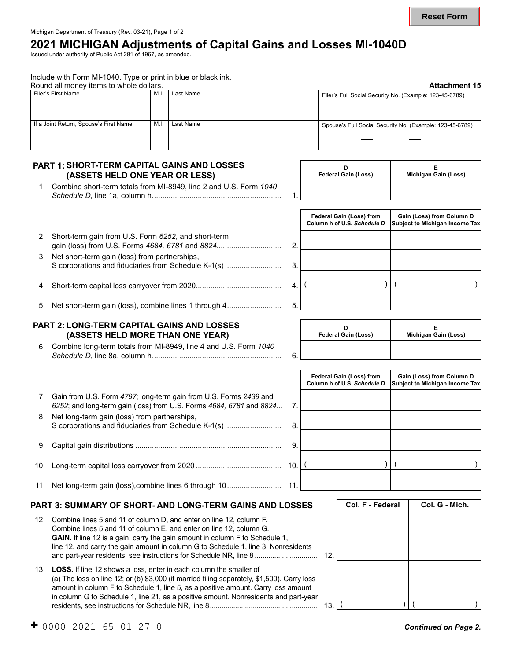## **2021 MICHIGAN Adjustments of Capital Gains and Losses MI-1040D**

Issued under authority of Public Act 281 of 1967, as amended.

Include with Form MI-1040. Type or print in blue or black ink.

| Round all money items to whole dollars. | <b>Attachment 15</b> |           |                                                          |
|-----------------------------------------|----------------------|-----------|----------------------------------------------------------|
| Filer's First Name                      | M.I                  | Last Name | Filer's Full Social Security No. (Example: 123-45-6789)  |
|                                         |                      |           |                                                          |
| If a Joint Return, Spouse's First Name  | M.I                  | Last Name | Spouse's Full Social Security No. (Example: 123-45-6789) |
|                                         |                      |           |                                                          |

#### **PART 1: SHORT-TERM CAPITAL GAINS AND LOSSES (ASSETS HELD ONE YEAR OR LESS)**

| 1. Combine short-term totals from MI-8949, line 2 and U.S. Form 1040 |  |
|----------------------------------------------------------------------|--|
|                                                                      |  |

| <b>Federal Gain (Loss)</b> | Michigan Gain (Loss) |
|----------------------------|----------------------|
|                            |                      |

Federal Gain (Loss) from | Gain (Loss) from Column D

|    |                                                                                                        |  | Column h of U.S. Schedule D Subject to Michigan Income Tax |
|----|--------------------------------------------------------------------------------------------------------|--|------------------------------------------------------------|
| 2. | Short-term gain from U.S. Form 6252, and short-term<br>gain (loss) from U.S. Forms 4684, 6781 and 8824 |  |                                                            |
| 3. | Net short-term gain (loss) from partnerships,<br>S corporations and fiduciaries from Schedule K-1(s)   |  |                                                            |
|    |                                                                                                        |  |                                                            |
|    |                                                                                                        |  |                                                            |

5. Net short-term gain (loss), combine lines 1 through 4.......................... 5.

#### **PART 2: LONG-TERM CAPITAL GAINS AND LOSSES (ASSETS HELD MORE THAN ONE YEAR)**

6. Combine long-term totals from MI-8949, line 4 and U.S. Form *1040 Schedule D*, line 8a, column h.............................................................. 6.

| <b>Federal Gain (Loss)</b> | Michigan Gain (Loss) |
|----------------------------|----------------------|
|                            |                      |

| 7. Gain from U.S. Form 4797; long-term gain from U.S. Forms 2439 and<br>6252; and long-term gain (loss) from U.S. Forms 4684, 6781 and 8824 7. |    |
|------------------------------------------------------------------------------------------------------------------------------------------------|----|
| 8. Net long-term gain (loss) from partnerships,<br>S corporations and fiduciaries from Schedule K-1(s)                                         | 8. |
|                                                                                                                                                |    |

10. Long-term capital loss carryover from 2020 ......................................... 10.

11. Net long-term gain (loss),combine lines 6 through 10.......................... 11.

#### **PART 3: SUMMARY OF SHORT- AND LONG-TERM GAINS AND LOSSES**

| 12. Combine lines 5 and 11 of column D, and enter on line 12, column F.             |  |
|-------------------------------------------------------------------------------------|--|
| Combine lines 5 and 11 of column E, and enter on line 12, column G.                 |  |
| <b>GAIN.</b> If line 12 is a gain, carry the gain amount in column F to Schedule 1, |  |
| line 12, and carry the gain amount in column G to Schedule 1, line 3. Nonresidents  |  |
|                                                                                     |  |
|                                                                                     |  |

 amount in column F to Schedule 1, line 5, as a positive amount. Carry loss amount in column G to Schedule 1, line 21, as a positive amount. Nonresidents and part-year 13. **LOSS.** If line 12 shows a loss, enter in each column the smaller of (a) The loss on line 12; or (b) \$3,000 (if married filing separately, \$1,500). Carry loss residents, see instructions for Schedule NR, line 8....................................................... 13.

| Federal Gain (Loss) from<br>Column h of U.S. Schedule D | Gain (Loss) from Column D<br>Subject to Michigan Income Tax |  |  |  |
|---------------------------------------------------------|-------------------------------------------------------------|--|--|--|
|                                                         |                                                             |  |  |  |
|                                                         |                                                             |  |  |  |
|                                                         |                                                             |  |  |  |
|                                                         |                                                             |  |  |  |
|                                                         |                                                             |  |  |  |

|    | Col. F - Federal | Col. G - Mich. |  |  |  |  |
|----|------------------|----------------|--|--|--|--|
|    |                  |                |  |  |  |  |
|    |                  |                |  |  |  |  |
|    |                  |                |  |  |  |  |
|    |                  |                |  |  |  |  |
| 2. |                  |                |  |  |  |  |
|    |                  |                |  |  |  |  |
|    |                  |                |  |  |  |  |
|    |                  |                |  |  |  |  |
| 3. |                  |                |  |  |  |  |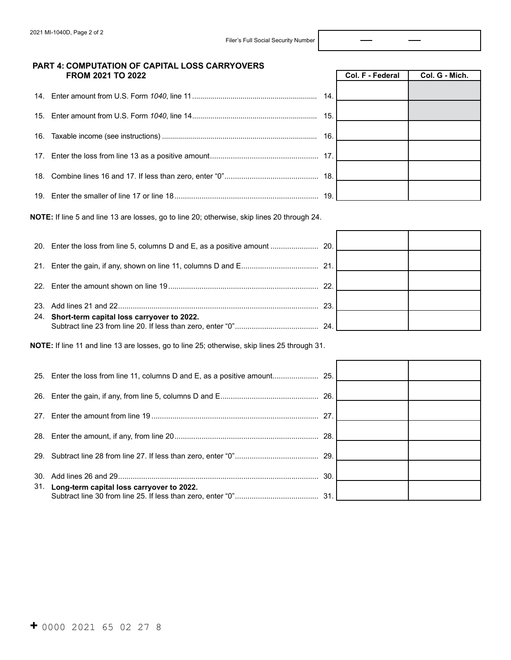Col. F - Federal Col. G - Mich.

#### **PART 4: COMPUTATION OF CAPITAL LOSS CARRYOVERS FROM 2021 TO 2022**

|  | 14. |  |
|--|-----|--|
|  | 15. |  |
|  |     |  |
|  |     |  |
|  |     |  |
|  |     |  |
|  | 19. |  |

**NOTE:** If line 5 and line 13 are losses, go to line 20; otherwise, skip lines 20 through 24.

|                                                | 22. |  |
|------------------------------------------------|-----|--|
|                                                | 23. |  |
| 24. Short-term capital loss carryover to 2022. | 24. |  |

**NOTE:** If line 11 and line 13 are losses, go to line 25; otherwise, skip lines 25 through 31.

|                                               | 27  |  |
|-----------------------------------------------|-----|--|
|                                               |     |  |
|                                               |     |  |
|                                               | 30. |  |
| 31. Long-term capital loss carryover to 2022. |     |  |